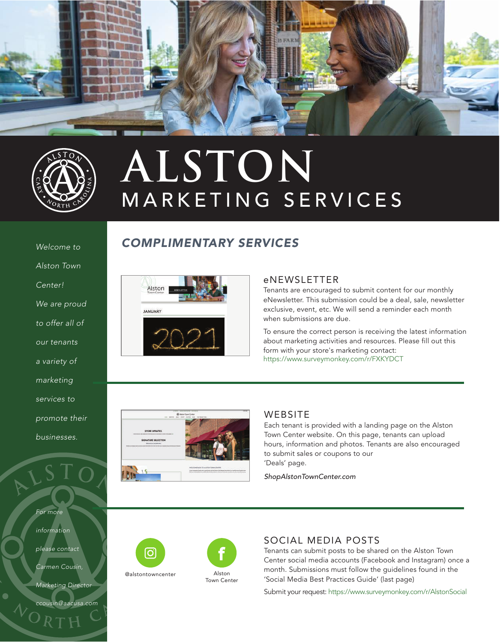



## MARKETING SERVICES **ALSTON**

#### *Welcome to*

*Alston Town* 

*Center!* 

*We are proud* 

*to offer all of* 

*our tenants* 

*a variety of* 

*marketing* 

*services to* 

*promote their* 

*businesses.*

*For more* 

*information* 

*please contact* 

*Carmen Cousin,* 

*Marketing Director* 

*ccousin@aacusa.com*



*COMPLIMENTARY SERVICES*

#### eNEWSLETTER

Tenants are encouraged to submit content for our monthly eNewsletter. This submission could be a deal, sale, newsletter exclusive, event, etc. We will send a reminder each month when submissions are due.

To ensure the correct person is receiving the latest information about marketing activities and resources. Please fill out this form with your store's marketing contact: https://www.surveymonkey.com/r/FXKYDCT



#### **WEBSITE**

Each tenant is provided with a landing page on the Alston Town Center website. On this page, tenants can upload hours, information and photos. Tenants are also encouraged to submit sales or coupons to our 'Deals' page.

*ShopAlstonTownCenter.com*





#### SOCIAL MEDIA POSTS

Tenants can submit posts to be shared on the Alston Town Center social media accounts (Facebook and Instagram) once a month. Submissions must follow the guidelines found in the 'Social Media Best Practices Guide' (last page)

Submit your request: https://www.surveymonkey.com/r/AlstonSocial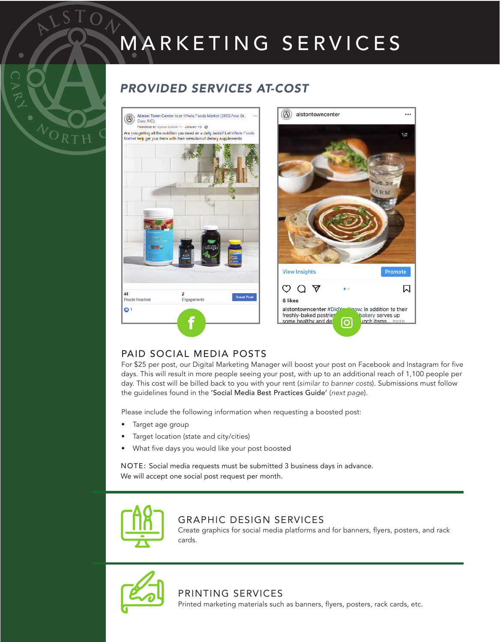# MARKETING SERVICES

...

 $1/2$ 

闪

#### *PROVIDED SERVICES AT-COST*



#### PAID SOCIAL MEDIA POSTS

For \$25 per post, our Digital Marketing Manager will boost your post on Facebook and Instagram for five days. This will result in more people seeing your post, with up to an additional reach of 1,100 people per day. This cost will be billed back to you with your rent (*similar to banner costs*). Submissions must follow the guidelines found in the 'Social Media Best Practices Guide' (*next page*).

Please include the following information when requesting a boosted post:

• Target age group

WORTH

- Target location (state and city/cities)
- What five days you would like your post boosted

NOTE: Social media requests must be submitted 3 business days in advance. We will accept one social post request per month.



#### GRAPHIC DESIGN SERVICES

Create graphics for social media platforms and for banners, flyers, posters, and rack cards.



#### PRINTING SERVICES Printed marketing materials such as banners, flyers, posters, rack cards, etc.